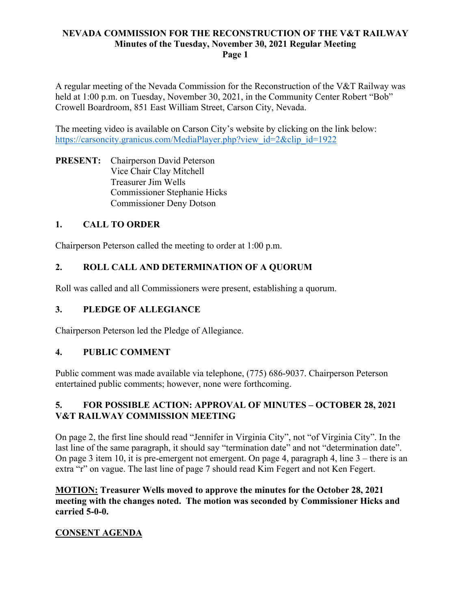A regular meeting of the Nevada Commission for the Reconstruction of the V&T Railway was held at 1:00 p.m. on Tuesday, November 30, 2021, in the Community Center Robert "Bob" Crowell Boardroom, 851 East William Street, Carson City, Nevada.

The meeting video is available on Carson City's website by clicking on the link below: https://carsoncity.granicus.com/MediaPlayer.php?view\_id=2&clip\_id=1922

**PRESENT:** Chairperson David Peterson Vice Chair Clay Mitchell Treasurer Jim Wells Commissioner Stephanie Hicks Commissioner Deny Dotson

### **1. CALL TO ORDER**

Chairperson Peterson called the meeting to order at 1:00 p.m.

### **2. ROLL CALL AND DETERMINATION OF A QUORUM**

Roll was called and all Commissioners were present, establishing a quorum.

### **3. PLEDGE OF ALLEGIANCE**

Chairperson Peterson led the Pledge of Allegiance.

#### **4. PUBLIC COMMENT**

Public comment was made available via telephone, (775) 686-9037. Chairperson Peterson entertained public comments; however, none were forthcoming.

### **5. FOR POSSIBLE ACTION: APPROVAL OF MINUTES – OCTOBER 28, 2021 V&T RAILWAY COMMISSION MEETING**

On page 2, the first line should read "Jennifer in Virginia City", not "of Virginia City". In the last line of the same paragraph, it should say "termination date" and not "determination date". On page 3 item 10, it is pre-emergent not emergent. On page 4, paragraph 4, line 3 – there is an extra "r" on vague. The last line of page 7 should read Kim Fegert and not Ken Fegert.

**MOTION: Treasurer Wells moved to approve the minutes for the October 28, 2021 meeting with the changes noted. The motion was seconded by Commissioner Hicks and carried 5-0-0.**

# **CONSENT AGENDA**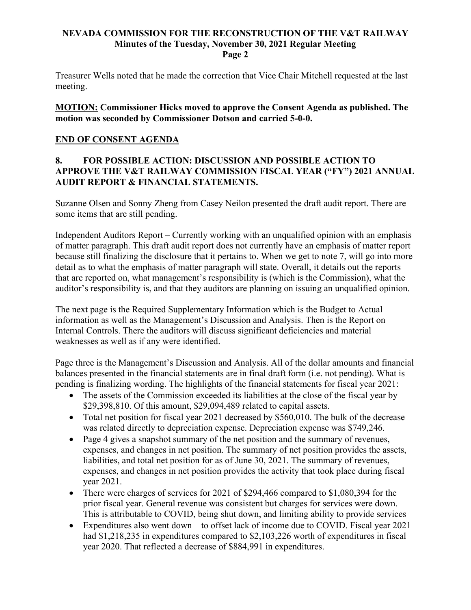Treasurer Wells noted that he made the correction that Vice Chair Mitchell requested at the last meeting.

**MOTION: Commissioner Hicks moved to approve the Consent Agenda as published. The motion was seconded by Commissioner Dotson and carried 5-0-0.**

#### **END OF CONSENT AGENDA**

### **8. FOR POSSIBLE ACTION: DISCUSSION AND POSSIBLE ACTION TO APPROVE THE V&T RAILWAY COMMISSION FISCAL YEAR ("FY") 2021 ANNUAL AUDIT REPORT & FINANCIAL STATEMENTS.**

Suzanne Olsen and Sonny Zheng from Casey Neilon presented the draft audit report. There are some items that are still pending.

Independent Auditors Report – Currently working with an unqualified opinion with an emphasis of matter paragraph. This draft audit report does not currently have an emphasis of matter report because still finalizing the disclosure that it pertains to. When we get to note 7, will go into more detail as to what the emphasis of matter paragraph will state. Overall, it details out the reports that are reported on, what management's responsibility is (which is the Commission), what the auditor's responsibility is, and that they auditors are planning on issuing an unqualified opinion.

The next page is the Required Supplementary Information which is the Budget to Actual information as well as the Management's Discussion and Analysis. Then is the Report on Internal Controls. There the auditors will discuss significant deficiencies and material weaknesses as well as if any were identified.

Page three is the Management's Discussion and Analysis. All of the dollar amounts and financial balances presented in the financial statements are in final draft form (i.e. not pending). What is pending is finalizing wording. The highlights of the financial statements for fiscal year 2021:

- The assets of the Commission exceeded its liabilities at the close of the fiscal year by \$29,398,810. Of this amount, \$29,094,489 related to capital assets.
- Total net position for fiscal year 2021 decreased by \$560,010. The bulk of the decrease was related directly to depreciation expense. Depreciation expense was \$749,246.
- Page 4 gives a snapshot summary of the net position and the summary of revenues, expenses, and changes in net position. The summary of net position provides the assets, liabilities, and total net position for as of June 30, 2021. The summary of revenues, expenses, and changes in net position provides the activity that took place during fiscal year 2021.
- There were charges of services for 2021 of \$294,466 compared to \$1,080,394 for the prior fiscal year. General revenue was consistent but charges for services were down. This is attributable to COVID, being shut down, and limiting ability to provide services
- Expenditures also went down to offset lack of income due to COVID. Fiscal year 2021 had \$1,218,235 in expenditures compared to \$2,103,226 worth of expenditures in fiscal year 2020. That reflected a decrease of \$884,991 in expenditures.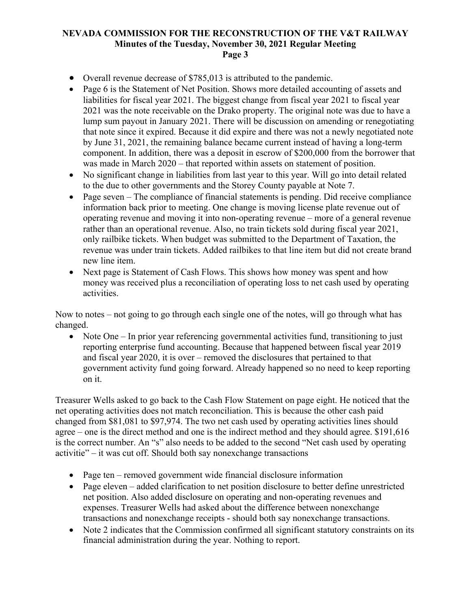- Overall revenue decrease of \$785,013 is attributed to the pandemic.
- Page 6 is the Statement of Net Position. Shows more detailed accounting of assets and liabilities for fiscal year 2021. The biggest change from fiscal year 2021 to fiscal year 2021 was the note receivable on the Drako property. The original note was due to have a lump sum payout in January 2021. There will be discussion on amending or renegotiating that note since it expired. Because it did expire and there was not a newly negotiated note by June 31, 2021, the remaining balance became current instead of having a long-term component. In addition, there was a deposit in escrow of \$200,000 from the borrower that was made in March 2020 – that reported within assets on statement of position.
- No significant change in liabilities from last year to this year. Will go into detail related to the due to other governments and the Storey County payable at Note 7.
- Page seven The compliance of financial statements is pending. Did receive compliance information back prior to meeting. One change is moving license plate revenue out of operating revenue and moving it into non-operating revenue – more of a general revenue rather than an operational revenue. Also, no train tickets sold during fiscal year 2021, only railbike tickets. When budget was submitted to the Department of Taxation, the revenue was under train tickets. Added railbikes to that line item but did not create brand new line item.
- Next page is Statement of Cash Flows. This shows how money was spent and how money was received plus a reconciliation of operating loss to net cash used by operating activities.

Now to notes – not going to go through each single one of the notes, will go through what has changed.

• Note One – In prior year referencing governmental activities fund, transitioning to just reporting enterprise fund accounting. Because that happened between fiscal year 2019 and fiscal year 2020, it is over – removed the disclosures that pertained to that government activity fund going forward. Already happened so no need to keep reporting on it.

Treasurer Wells asked to go back to the Cash Flow Statement on page eight. He noticed that the net operating activities does not match reconciliation. This is because the other cash paid changed from \$81,081 to \$97,974. The two net cash used by operating activities lines should agree – one is the direct method and one is the indirect method and they should agree. \$191,616 is the correct number. An "s" also needs to be added to the second "Net cash used by operating activitie" – it was cut off. Should both say nonexchange transactions

- Page ten removed government wide financial disclosure information
- Page eleven added clarification to net position disclosure to better define unrestricted net position. Also added disclosure on operating and non-operating revenues and expenses. Treasurer Wells had asked about the difference between nonexchange transactions and nonexchange receipts - should both say nonexchange transactions.
- Note 2 indicates that the Commission confirmed all significant statutory constraints on its financial administration during the year. Nothing to report.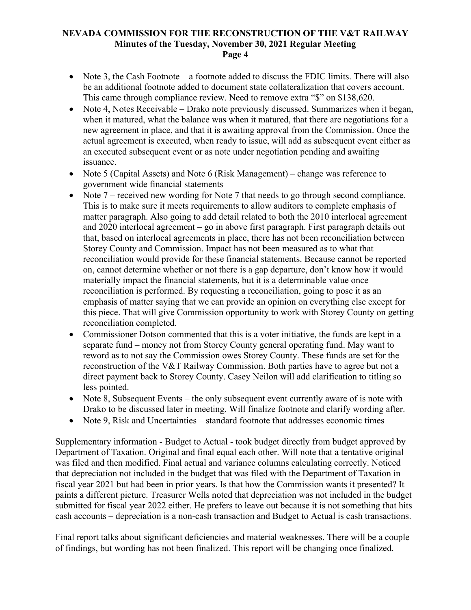- Note 3, the Cash Footnote a footnote added to discuss the FDIC limits. There will also be an additional footnote added to document state collateralization that covers account. This came through compliance review. Need to remove extra "\$" on \$138,620.
- Note 4, Notes Receivable Drako note previously discussed. Summarizes when it began, when it matured, what the balance was when it matured, that there are negotiations for a new agreement in place, and that it is awaiting approval from the Commission. Once the actual agreement is executed, when ready to issue, will add as subsequent event either as an executed subsequent event or as note under negotiation pending and awaiting issuance.
- Note 5 (Capital Assets) and Note 6 (Risk Management) change was reference to government wide financial statements
- Note  $7$  received new wording for Note 7 that needs to go through second compliance. This is to make sure it meets requirements to allow auditors to complete emphasis of matter paragraph. Also going to add detail related to both the 2010 interlocal agreement and 2020 interlocal agreement – go in above first paragraph. First paragraph details out that, based on interlocal agreements in place, there has not been reconciliation between Storey County and Commission. Impact has not been measured as to what that reconciliation would provide for these financial statements. Because cannot be reported on, cannot determine whether or not there is a gap departure, don't know how it would materially impact the financial statements, but it is a determinable value once reconciliation is performed. By requesting a reconciliation, going to pose it as an emphasis of matter saying that we can provide an opinion on everything else except for this piece. That will give Commission opportunity to work with Storey County on getting reconciliation completed.
- Commissioner Dotson commented that this is a voter initiative, the funds are kept in a separate fund – money not from Storey County general operating fund. May want to reword as to not say the Commission owes Storey County. These funds are set for the reconstruction of the V&T Railway Commission. Both parties have to agree but not a direct payment back to Storey County. Casey Neilon will add clarification to titling so less pointed.
- Note 8, Subsequent Events the only subsequent event currently aware of is note with Drako to be discussed later in meeting. Will finalize footnote and clarify wording after.
- Note 9, Risk and Uncertainties standard footnote that addresses economic times

Supplementary information - Budget to Actual - took budget directly from budget approved by Department of Taxation. Original and final equal each other. Will note that a tentative original was filed and then modified. Final actual and variance columns calculating correctly. Noticed that depreciation not included in the budget that was filed with the Department of Taxation in fiscal year 2021 but had been in prior years. Is that how the Commission wants it presented? It paints a different picture. Treasurer Wells noted that depreciation was not included in the budget submitted for fiscal year 2022 either. He prefers to leave out because it is not something that hits cash accounts – depreciation is a non-cash transaction and Budget to Actual is cash transactions.

Final report talks about significant deficiencies and material weaknesses. There will be a couple of findings, but wording has not been finalized. This report will be changing once finalized.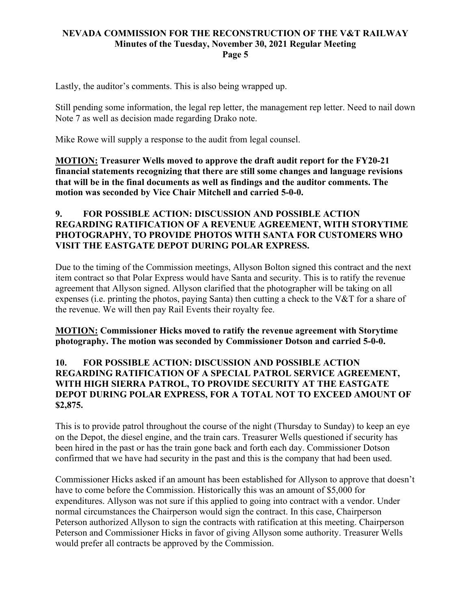Lastly, the auditor's comments. This is also being wrapped up.

Still pending some information, the legal rep letter, the management rep letter. Need to nail down Note 7 as well as decision made regarding Drako note.

Mike Rowe will supply a response to the audit from legal counsel.

**MOTION: Treasurer Wells moved to approve the draft audit report for the FY20-21 financial statements recognizing that there are still some changes and language revisions that will be in the final documents as well as findings and the auditor comments. The motion was seconded by Vice Chair Mitchell and carried 5-0-0.**

### **9. FOR POSSIBLE ACTION: DISCUSSION AND POSSIBLE ACTION REGARDING RATIFICATION OF A REVENUE AGREEMENT, WITH STORYTIME PHOTOGRAPHY, TO PROVIDE PHOTOS WITH SANTA FOR CUSTOMERS WHO VISIT THE EASTGATE DEPOT DURING POLAR EXPRESS.**

Due to the timing of the Commission meetings, Allyson Bolton signed this contract and the next item contract so that Polar Express would have Santa and security. This is to ratify the revenue agreement that Allyson signed. Allyson clarified that the photographer will be taking on all expenses (i.e. printing the photos, paying Santa) then cutting a check to the V&T for a share of the revenue. We will then pay Rail Events their royalty fee.

**MOTION: Commissioner Hicks moved to ratify the revenue agreement with Storytime photography. The motion was seconded by Commissioner Dotson and carried 5-0-0.**

### **10. FOR POSSIBLE ACTION: DISCUSSION AND POSSIBLE ACTION REGARDING RATIFICATION OF A SPECIAL PATROL SERVICE AGREEMENT, WITH HIGH SIERRA PATROL, TO PROVIDE SECURITY AT THE EASTGATE DEPOT DURING POLAR EXPRESS, FOR A TOTAL NOT TO EXCEED AMOUNT OF \$2,875.**

This is to provide patrol throughout the course of the night (Thursday to Sunday) to keep an eye on the Depot, the diesel engine, and the train cars. Treasurer Wells questioned if security has been hired in the past or has the train gone back and forth each day. Commissioner Dotson confirmed that we have had security in the past and this is the company that had been used.

Commissioner Hicks asked if an amount has been established for Allyson to approve that doesn't have to come before the Commission. Historically this was an amount of \$5,000 for expenditures. Allyson was not sure if this applied to going into contract with a vendor. Under normal circumstances the Chairperson would sign the contract. In this case, Chairperson Peterson authorized Allyson to sign the contracts with ratification at this meeting. Chairperson Peterson and Commissioner Hicks in favor of giving Allyson some authority. Treasurer Wells would prefer all contracts be approved by the Commission.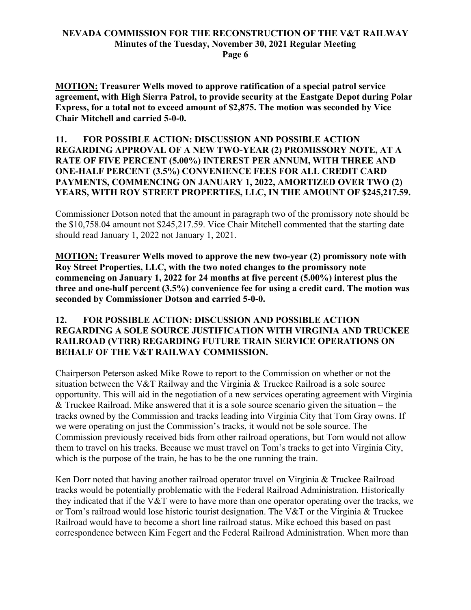**Page 6**

**MOTION: Treasurer Wells moved to approve ratification of a special patrol service agreement, with High Sierra Patrol, to provide security at the Eastgate Depot during Polar Express, for a total not to exceed amount of \$2,875. The motion was seconded by Vice Chair Mitchell and carried 5-0-0.**

### **11. FOR POSSIBLE ACTION: DISCUSSION AND POSSIBLE ACTION REGARDING APPROVAL OF A NEW TWO-YEAR (2) PROMISSORY NOTE, AT A RATE OF FIVE PERCENT (5.00%) INTEREST PER ANNUM, WITH THREE AND ONE-HALF PERCENT (3.5%) CONVENIENCE FEES FOR ALL CREDIT CARD PAYMENTS, COMMENCING ON JANUARY 1, 2022, AMORTIZED OVER TWO (2) YEARS, WITH ROY STREET PROPERTIES, LLC, IN THE AMOUNT OF \$245,217.59.**

Commissioner Dotson noted that the amount in paragraph two of the promissory note should be the \$10,758.04 amount not \$245,217.59. Vice Chair Mitchell commented that the starting date should read January 1, 2022 not January 1, 2021.

**MOTION: Treasurer Wells moved to approve the new two-year (2) promissory note with Roy Street Properties, LLC, with the two noted changes to the promissory note commencing on January 1, 2022 for 24 months at five percent (5.00%) interest plus the three and one-half percent (3.5%) convenience fee for using a credit card. The motion was seconded by Commissioner Dotson and carried 5-0-0.**

### **12. FOR POSSIBLE ACTION: DISCUSSION AND POSSIBLE ACTION REGARDING A SOLE SOURCE JUSTIFICATION WITH VIRGINIA AND TRUCKEE RAILROAD (VTRR) REGARDING FUTURE TRAIN SERVICE OPERATIONS ON BEHALF OF THE V&T RAILWAY COMMISSION.**

Chairperson Peterson asked Mike Rowe to report to the Commission on whether or not the situation between the V&T Railway and the Virginia & Truckee Railroad is a sole source opportunity. This will aid in the negotiation of a new services operating agreement with Virginia & Truckee Railroad. Mike answered that it is a sole source scenario given the situation – the tracks owned by the Commission and tracks leading into Virginia City that Tom Gray owns. If we were operating on just the Commission's tracks, it would not be sole source. The Commission previously received bids from other railroad operations, but Tom would not allow them to travel on his tracks. Because we must travel on Tom's tracks to get into Virginia City, which is the purpose of the train, he has to be the one running the train.

Ken Dorr noted that having another railroad operator travel on Virginia & Truckee Railroad tracks would be potentially problematic with the Federal Railroad Administration. Historically they indicated that if the V&T were to have more than one operator operating over the tracks, we or Tom's railroad would lose historic tourist designation. The V&T or the Virginia & Truckee Railroad would have to become a short line railroad status. Mike echoed this based on past correspondence between Kim Fegert and the Federal Railroad Administration. When more than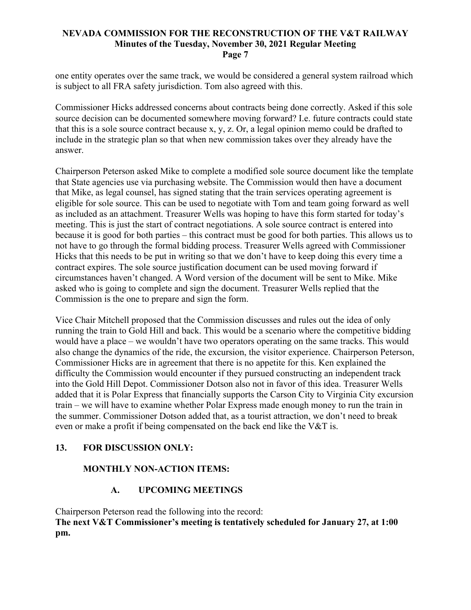one entity operates over the same track, we would be considered a general system railroad which is subject to all FRA safety jurisdiction. Tom also agreed with this.

Commissioner Hicks addressed concerns about contracts being done correctly. Asked if this sole source decision can be documented somewhere moving forward? I.e. future contracts could state that this is a sole source contract because x, y, z. Or, a legal opinion memo could be drafted to include in the strategic plan so that when new commission takes over they already have the answer.

Chairperson Peterson asked Mike to complete a modified sole source document like the template that State agencies use via purchasing website. The Commission would then have a document that Mike, as legal counsel, has signed stating that the train services operating agreement is eligible for sole source. This can be used to negotiate with Tom and team going forward as well as included as an attachment. Treasurer Wells was hoping to have this form started for today's meeting. This is just the start of contract negotiations. A sole source contract is entered into because it is good for both parties – this contract must be good for both parties. This allows us to not have to go through the formal bidding process. Treasurer Wells agreed with Commissioner Hicks that this needs to be put in writing so that we don't have to keep doing this every time a contract expires. The sole source justification document can be used moving forward if circumstances haven't changed. A Word version of the document will be sent to Mike. Mike asked who is going to complete and sign the document. Treasurer Wells replied that the Commission is the one to prepare and sign the form.

Vice Chair Mitchell proposed that the Commission discusses and rules out the idea of only running the train to Gold Hill and back. This would be a scenario where the competitive bidding would have a place – we wouldn't have two operators operating on the same tracks. This would also change the dynamics of the ride, the excursion, the visitor experience. Chairperson Peterson, Commissioner Hicks are in agreement that there is no appetite for this. Ken explained the difficulty the Commission would encounter if they pursued constructing an independent track into the Gold Hill Depot. Commissioner Dotson also not in favor of this idea. Treasurer Wells added that it is Polar Express that financially supports the Carson City to Virginia City excursion train – we will have to examine whether Polar Express made enough money to run the train in the summer. Commissioner Dotson added that, as a tourist attraction, we don't need to break even or make a profit if being compensated on the back end like the V&T is.

### **13. FOR DISCUSSION ONLY:**

# **MONTHLY NON-ACTION ITEMS:**

# **A. UPCOMING MEETINGS**

Chairperson Peterson read the following into the record: **The next V&T Commissioner's meeting is tentatively scheduled for January 27, at 1:00 pm.**